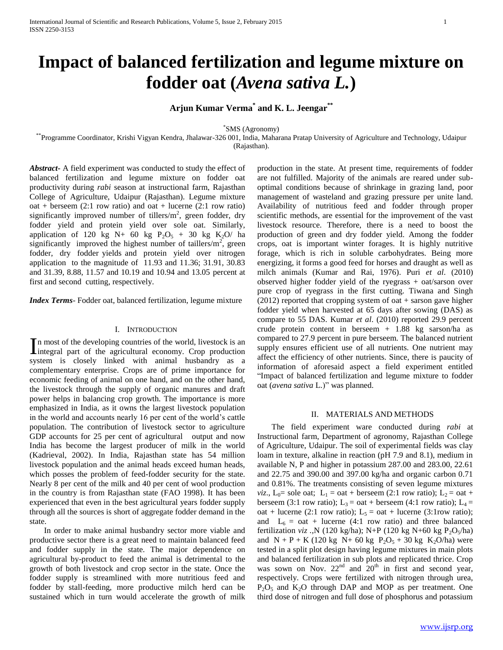# **Impact of balanced fertilization and legume mixture on fodder oat (***Avena sativa L.***)**

**Arjun Kumar Verma\* and K. L. Jeengar\*\***

\* SMS (Agronomy)

\*\*Programme Coordinator, Krishi Vigyan Kendra, Jhalawar-326 001, India, Maharana Pratap University of Agriculture and Technology, Udaipur (Rajasthan).

*Abstract***-** A field experiment was conducted to study the effect of balanced fertilization and legume mixture on fodder oat productivity during *rabi* season at instructional farm, Rajasthan College of Agriculture, Udaipur (Rajasthan). Legume mixture oat + berseem  $(2:1$  row ratio) and oat + lucerne  $(2:1$  row ratio) significantly improved number of tillers/ $m<sup>2</sup>$ , green fodder, dry fodder yield and protein yield over sole oat. Similarly, application of 120 kg N+ 60 kg  $P_2O_5 + 30$  kg  $K_2O$  ha significantly improved the highest number of taillers/ $m<sup>2</sup>$ , green fodder, dry fodder yields and protein yield over nitrogen application to the magnitude of 11.93 and 11.36; 31.91, 30.83 and 31.39, 8.88, 11.57 and 10.19 and 10.94 and 13.05 percent at first and second cutting, respectively.

*Index Terms*- Fodder oat, balanced fertilization, legume mixture

#### I. INTRODUCTION

n most of the developing countries of the world, livestock is an In most of the developing countries of the world, livestock is an integral part of the agricultural economy. Crop production system is closely linked with animal husbandry as a complementary enterprise. Crops are of prime importance for economic feeding of animal on one hand, and on the other hand, the livestock through the supply of organic manures and draft power helps in balancing crop growth. The importance is more emphasized in India, as it owns the largest livestock population in the world and accounts nearly 16 per cent of the world's cattle population. The contribution of livestock sector to agriculture GDP accounts for 25 per cent of agricultural output and now India has become the largest producer of milk in the world (Kadrieval, 2002). In India, Rajasthan state has 54 million livestock population and the animal heads exceed human heads, which posses the problem of feed-fodder security for the state. Nearly 8 per cent of the milk and 40 per cent of wool production in the country is from Rajasthan state (FAO 1998). It has been experienced that even in the best agricultural years fodder supply through all the sources is short of aggregate fodder demand in the state.

 In order to make animal husbandry sector more viable and productive sector there is a great need to maintain balanced feed and fodder supply in the state. The major dependence on agricultural by-product to feed the animal is detrimental to the growth of both livestock and crop sector in the state. Once the fodder supply is streamlined with more nutritious feed and fodder by stall-feeding, more productive milch herd can be sustained which in turn would accelerate the growth of milk

production in the state. At present time, requirements of fodder are not fulfilled. Majority of the animals are reared under suboptimal conditions because of shrinkage in grazing land, poor management of wasteland and grazing pressure per unite land. Availability of nutritious feed and fodder through proper scientific methods, are essential for the improvement of the vast livestock resource. Therefore, there is a need to boost the production of green and dry fodder yield. Among the fodder crops, oat is important winter forages. It is highly nutritive forage, which is rich in soluble carbohydrates. Being more energizing, it forms a good feed for horses and draught as well as milch animals (Kumar and Rai, 1976). Puri *et al*. (2010) observed higher fodder yield of the ryegrass + oat/sarson over pure crop of ryegrass in the first cutting. Tiwana and Singh  $(2012)$  reported that cropping system of oat + sarson gave higher fodder yield when harvested at 65 days after sowing (DAS) as compare to 55 DAS. Kumar *et al*. (2010) reported 29.9 percent crude protein content in berseem + 1.88 kg sarson/ha as compared to 27.9 percent in pure berseem. The balanced nutrient supply ensures efficient use of all nutrients. One nutrient may affect the efficiency of other nutrients. Since, there is paucity of information of aforesaid aspect a field experiment entitled "Impact of balanced fertilization and legume mixture to fodder oat (*avena sativa* L.)" was planned.

#### II. MATERIALS AND METHODS

 The field experiment ware conducted during *rabi* at Instructional farm, Department of agronomy, Rajasthan College of Agriculture, Udaipur. The soil of experimental fields was clay loam in texture, alkaline in reaction (pH 7.9 and 8.1), medium in available N, P and higher in potassium 287.00 and 283.00, 22.61 and 22.75 and 390.00 and 397.00 kg/ha and organic carbon 0.71 and 0.81%. The treatments consisting of seven legume mixtures *viz*.,  $L_0$ = sole oat;  $L_1$  = oat + berseem (2:1 row ratio);  $L_2$  = oat + berseem (3:1 row ratio);  $L_3 = \text{oat} + \text{berseem}$  (4:1 row ratio);  $L_4 =$ oat + lucerne (2:1 row ratio);  $L_5 = \text{oat} + \text{lucerne}$  (3:1 row ratio); and  $L_6 = \text{oat } + \text{lucerne (4:1 row ratio) and three balanced}$ fertilization *viz* .,N (120 kg/ha); N+P (120 kg N+60 kg P<sub>2</sub>O<sub>5</sub>/ha) and  $N + P + K$  (120 kg  $N+ 60$  kg  $P_2O_5 + 30$  kg  $K_2O/ha$ ) were tested in a split plot design having legume mixtures in main plots and balanced fertilization in sub plots and replicated thrice. Crop was sown on Nov.  $22<sup>nd</sup>$  and  $20<sup>th</sup>$  in first and second year, respectively. Crops were fertilized with nitrogen through urea,  $P_2O_5$  and  $K_2O$  through DAP and MOP as per treatment. One third dose of nitrogen and full dose of phosphorus and potassium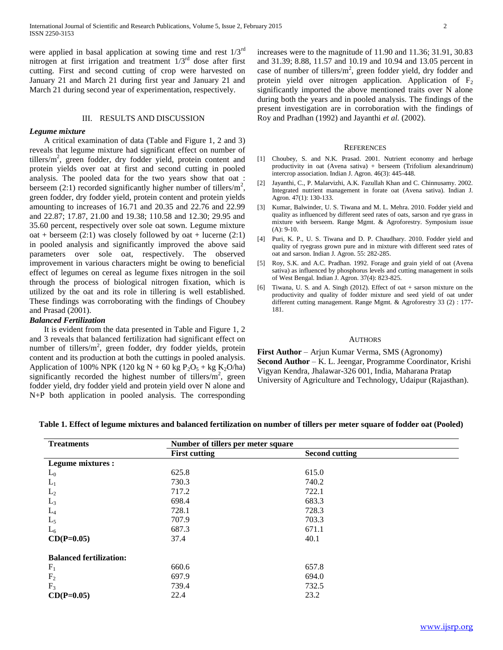were applied in basal application at sowing time and rest  $1/3^{rd}$ nitrogen at first irrigation and treatment  $1/3<sup>rd</sup>$  dose after first cutting. First and second cutting of crop were harvested on January 21 and March 21 during first year and January 21 and March 21 during second year of experimentation, respectively.

#### III. RESULTS AND DISCUSSION

#### *Legume mixture*

 A critical examination of data (Table and Figure 1, 2 and 3) reveals that legume mixture had significant effect on number of tillers/ $m^2$ , green fodder, dry fodder yield, protein content and protein yields over oat at first and second cutting in pooled analysis. The pooled data for the two years show that oat : berseem  $(2.1)$  recorded significantly higher number of tillers/m<sup>2</sup>, green fodder, dry fodder yield, protein content and protein yields amounting to increases of 16.71 and 20.35 and 22.76 and 22.99 and 22.87; 17.87, 21.00 and 19.38; 110.58 and 12.30; 29.95 and 35.60 percent, respectively over sole oat sown. Legume mixture oat + berseem  $(2:1)$  was closely followed by oat + lucerne  $(2:1)$ in pooled analysis and significantly improved the above said parameters over sole oat, respectively. The observed improvement in various characters might be owing to beneficial effect of legumes on cereal as legume fixes nitrogen in the soil through the process of biological nitrogen fixation, which is utilized by the oat and its role in tillering is well established. These findings was corroborating with the findings of Choubey and Prasad (2001).

## *Balanced Fertilization*

 It is evident from the data presented in Table and Figure 1, 2 and 3 reveals that balanced fertilization had significant effect on number of tillers/m<sup>2</sup>, green fodder, dry fodder yields, protein content and its production at both the cuttings in pooled analysis. Application of 100% NPK (120 kg N + 60 kg P<sub>2</sub>O<sub>5</sub> + kg K<sub>2</sub>O/ha) significantly recorded the highest number of tillers/ $m<sup>2</sup>$ , green fodder yield, dry fodder yield and protein yield over N alone and N+P both application in pooled analysis. The corresponding

increases were to the magnitude of 11.90 and 11.36; 31.91, 30.83 and 31.39; 8.88, 11.57 and 10.19 and 10.94 and 13.05 percent in case of number of tillers/ $m^2$ , green fodder yield, dry fodder and protein yield over nitrogen application. Application of  $F_2$ significantly imported the above mentioned traits over N alone during both the years and in pooled analysis. The findings of the present investigation are in corroboration with the findings of Roy and Pradhan (1992) and Jayanthi *et al.* (2002).

#### **REFERENCES**

- [1] Choubey, S. and N.K. Prasad. 2001. Nutrient economy and herbage productivity in oat (Avena sativa) + berseem (Trifolium alexandrinum) intercrop association. Indian J. Agron. 46(3): 445-448.
- [2] Jayanthi, C., P. Malarvizhi, A.K. Fazullah Khan and C. Chinnusamy. 2002. Integrated nutrient management in forate oat (Avena sativa). Indian J. Agron. 47(1): 130-133.
- [3] Kumar, Balwinder, U. S. Tiwana and M. L. Mehra. 2010. Fodder yield and quality as influenced by different seed rates of oats, sarson and rye grass in mixture with berseem. Range Mgmt. & Agroforestry. Symposium issue (A): 9-10.
- [4] Puri, K. P., U. S. Tiwana and D. P. Chaudhary. 2010. Fodder yield and quality of ryegrass grown pure and in mixture with different seed rates of oat and sarson. Indian J. Agron. 55: 282-285.
- [5] Roy, S.K. and A.C. Pradhan. 1992. Forage and grain yield of oat (Avena sativa) as influenced by phosphorus levels and cutting management in soils of West Bengal. Indian J. Agron. 37(4): 823-825.
- [6] Tiwana, U. S. and A. Singh (2012). Effect of oat + sarson mixture on the productivity and quality of fodder mixture and seed yield of oat under different cutting management. Range Mgmt. & Agroforestry 33 (2) : 177- 181.

#### AUTHORS

**First Author** – Arjun Kumar Verma, SMS (Agronomy) **Second Author** – K. L. Jeengar, Programme Coordinator, Krishi Vigyan Kendra, Jhalawar-326 001, India, Maharana Pratap University of Agriculture and Technology, Udaipur (Rajasthan).

| <b>Treatments</b>              | Number of tillers per meter square |                       |  |  |
|--------------------------------|------------------------------------|-----------------------|--|--|
|                                | <b>First cutting</b>               | <b>Second cutting</b> |  |  |
| <b>Legume mixtures:</b>        |                                    |                       |  |  |
| $L_0$                          | 625.8                              | 615.0                 |  |  |
| $L_1$                          | 730.3                              | 740.2                 |  |  |
| $L_2$                          | 717.2                              | 722.1                 |  |  |
| $L_3$                          | 698.4                              | 683.3                 |  |  |
| $L_4$                          | 728.1                              | 728.3                 |  |  |
| $L_5$                          | 707.9                              | 703.3                 |  |  |
| $L_6$                          | 687.3                              | 671.1                 |  |  |
| $CD(P=0.05)$                   | 37.4                               | 40.1                  |  |  |
| <b>Balanced fertilization:</b> |                                    |                       |  |  |
| $F_1$                          | 660.6                              | 657.8                 |  |  |
| F <sub>2</sub>                 | 697.9                              | 694.0                 |  |  |
| $F_3$                          | 739.4                              | 732.5                 |  |  |
| $CD(P=0.05)$                   | 22.4                               | 23.2                  |  |  |

### **Table 1. Effect of legume mixtures and balanced fertilization on number of tillers per meter square of fodder oat (Pooled)**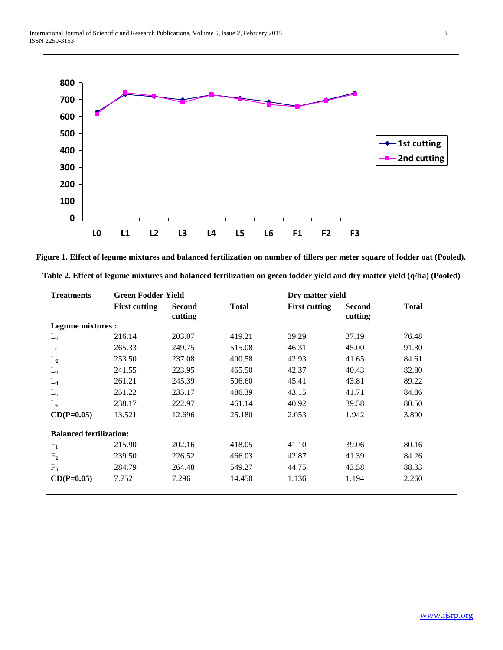

**Figure 1. Effect of legume mixtures and balanced fertilization on number of tillers per meter square of fodder oat (Pooled).**

| Table 2. Effect of legume mixtures and balanced fertilization on green fodder yield and dry matter yield (q/ha) (Pooled) |  |  |  |
|--------------------------------------------------------------------------------------------------------------------------|--|--|--|
|                                                                                                                          |  |  |  |

| <b>Treatments</b>              | <b>Green Fodder Yield</b> |                          |              |                      | Dry matter yield         |              |  |
|--------------------------------|---------------------------|--------------------------|--------------|----------------------|--------------------------|--------------|--|
|                                | <b>First cutting</b>      | <b>Second</b><br>cutting | <b>Total</b> | <b>First cutting</b> | <b>Second</b><br>cutting | <b>Total</b> |  |
| Legume mixtures :              |                           |                          |              |                      |                          |              |  |
| $L_0$                          | 216.14                    | 203.07                   | 419.21       | 39.29                | 37.19                    | 76.48        |  |
| $L_1$                          | 265.33                    | 249.75                   | 515.08       | 46.31                | 45.00                    | 91.30        |  |
| $L_2$                          | 253.50                    | 237.08                   | 490.58       | 42.93                | 41.65                    | 84.61        |  |
| $L_3$                          | 241.55                    | 223.95                   | 465.50       | 42.37                | 40.43                    | 82.80        |  |
| $L_4$                          | 261.21                    | 245.39                   | 506.60       | 45.41                | 43.81                    | 89.22        |  |
| $L_5$                          | 251.22                    | 235.17                   | 486.39       | 43.15                | 41.71                    | 84.86        |  |
| $L_6$                          | 238.17                    | 222.97                   | 461.14       | 40.92                | 39.58                    | 80.50        |  |
| $CD(P=0.05)$                   | 13.521                    | 12.696                   | 25.180       | 2.053                | 1.942                    | 3.890        |  |
| <b>Balanced fertilization:</b> |                           |                          |              |                      |                          |              |  |
| $F_1$                          | 215.90                    | 202.16                   | 418.05       | 41.10                | 39.06                    | 80.16        |  |
| F <sub>2</sub>                 | 239.50                    | 226.52                   | 466.03       | 42.87                | 41.39                    | 84.26        |  |
| $F_3$                          | 284.79                    | 264.48                   | 549.27       | 44.75                | 43.58                    | 88.33        |  |
| $CD(P=0.05)$                   | 7.752                     | 7.296                    | 14.450       | 1.136                | 1.194                    | 2.260        |  |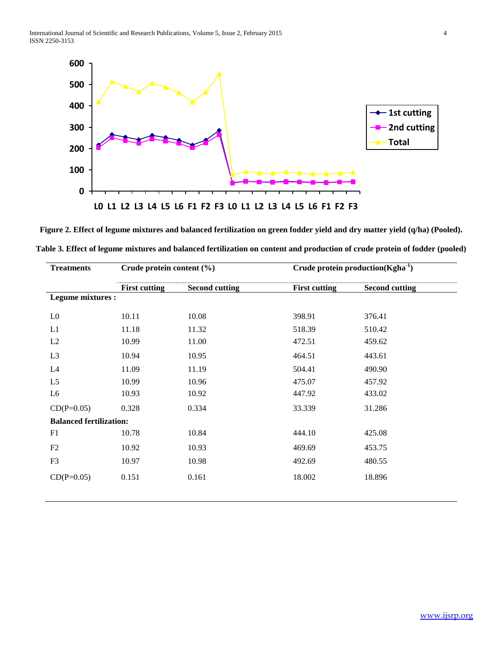

**Figure 2. Effect of legume mixtures and balanced fertilization on green fodder yield and dry matter yield (q/ha) (Pooled). Table 3. Effect of legume mixtures and balanced fertilization on content and production of crude protein of fodder (pooled)**

| <b>Treatments</b>              | Crude protein content (%) |                       | Crude protein production( $\text{Kgha}^{-1}$ ) |                       |  |
|--------------------------------|---------------------------|-----------------------|------------------------------------------------|-----------------------|--|
|                                | <b>First cutting</b>      | <b>Second cutting</b> | <b>First cutting</b>                           | <b>Second cutting</b> |  |
| Legume mixtures :              |                           |                       |                                                |                       |  |
| L <sub>0</sub>                 | 10.11                     | 10.08                 | 398.91                                         | 376.41                |  |
| L1                             | 11.18                     | 11.32                 | 518.39                                         | 510.42                |  |
| L2                             | 10.99                     | 11.00                 | 472.51                                         | 459.62                |  |
| L <sub>3</sub>                 | 10.94                     | 10.95                 | 464.51                                         | 443.61                |  |
| L4                             | 11.09                     | 11.19                 | 504.41                                         | 490.90                |  |
| L <sub>5</sub>                 | 10.99                     | 10.96                 | 475.07                                         | 457.92                |  |
| L <sub>6</sub>                 | 10.93                     | 10.92                 | 447.92                                         | 433.02                |  |
| $CD(P=0.05)$                   | 0.328                     | 0.334                 | 33.339                                         | 31.286                |  |
| <b>Balanced fertilization:</b> |                           |                       |                                                |                       |  |
| F1                             | 10.78                     | 10.84                 | 444.10                                         | 425.08                |  |
| F2                             | 10.92                     | 10.93                 | 469.69                                         | 453.75                |  |
| F <sub>3</sub>                 | 10.97                     | 10.98                 | 492.69                                         | 480.55                |  |
| $CD(P=0.05)$                   | 0.151                     | 0.161                 | 18.002                                         | 18.896                |  |